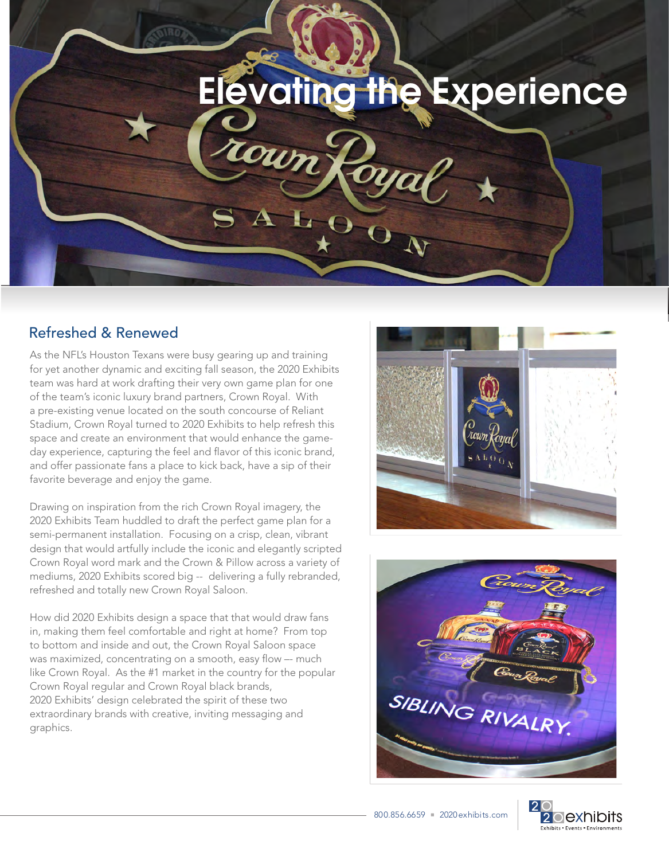

## Refreshed & Renewed

As the NFL's Houston Texans were busy gearing up and training for yet another dynamic and exciting fall season, the 2020 Exhibits team was hard at work drafting their very own game plan for one of the team's iconic luxury brand partners, Crown Royal. With a pre-existing venue located on the south concourse of Reliant Stadium, Crown Royal turned to 2020 Exhibits to help refresh this space and create an environment that would enhance the gameday experience, capturing the feel and flavor of this iconic brand, and offer passionate fans a place to kick back, have a sip of their favorite beverage and enjoy the game.

Drawing on inspiration from the rich Crown Royal imagery, the 2020 Exhibits Team huddled to draft the perfect game plan for a semi-permanent installation. Focusing on a crisp, clean, vibrant design that would artfully include the iconic and elegantly scripted Crown Royal word mark and the Crown & Pillow across a variety of mediums, 2020 Exhibits scored big -- delivering a fully rebranded, refreshed and totally new Crown Royal Saloon.

How did 2020 Exhibits design a space that that would draw fans in, making them feel comfortable and right at home? From top to bottom and inside and out, the Crown Royal Saloon space was maximized, concentrating on a smooth, easy flow –- much like Crown Royal. As the #1 market in the country for the popular Crown Royal regular and Crown Royal black brands, 2020 Exhibits' design celebrated the spirit of these two extraordinary brands with creative, inviting messaging and graphics.